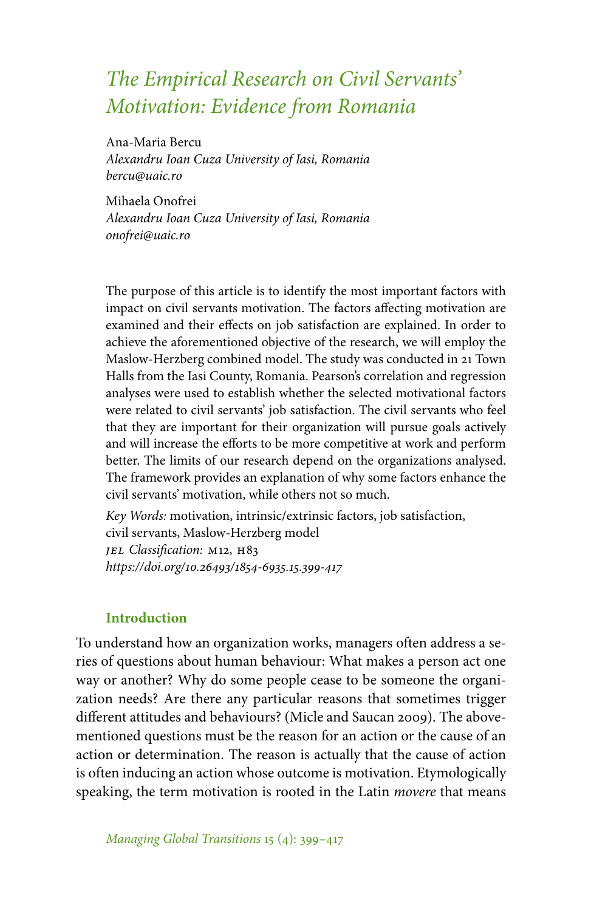# *The Empirical Research on Civil Servants' Motivation: Evidence from Romania*

Ana-Maria Bercu

*Alexandru Ioan Cuza University of Iasi, Romania bercu@uaic.ro*

Mihaela Onofrei *Alexandru Ioan Cuza University of Iasi, Romania onofrei@uaic.ro*

The purpose of this article is to identify the most important factors with impact on civil servants motivation. The factors affecting motivation are examined and their effects on job satisfaction are explained. In order to achieve the aforementioned objective of the research, we will employ the Maslow-Herzberg combined model. The study was conducted in 21 Town Halls from the Iasi County, Romania. Pearson's correlation and regression analyses were used to establish whether the selected motivational factors were related to civil servants' job satisfaction. The civil servants who feel that they are important for their organization will pursue goals actively and will increase the efforts to be more competitive at work and perform better. The limits of our research depend on the organizations analysed. The framework provides an explanation of why some factors enhance the civil servants' motivation, while others not so much.

*Key Words:* motivation, intrinsic/extrinsic factors, job satisfaction, civil servants, Maslow-Herzberg model *JEL Classification: M12, H83 https://doi.org/10.26493/1854-6935.15.399-417*

## **Introduction**

To understand how an organization works, managers often address a series of questions about human behaviour: What makes a person act one way or another? Why do some people cease to be someone the organization needs? Are there any particular reasons that sometimes trigger different attitudes and behaviours? (Micle and Saucan 2009). The abovementioned questions must be the reason for an action or the cause of an action or determination. The reason is actually that the cause of action is often inducing an action whose outcome is motivation. Etymologically speaking, the term motivation is rooted in the Latin *movere* that means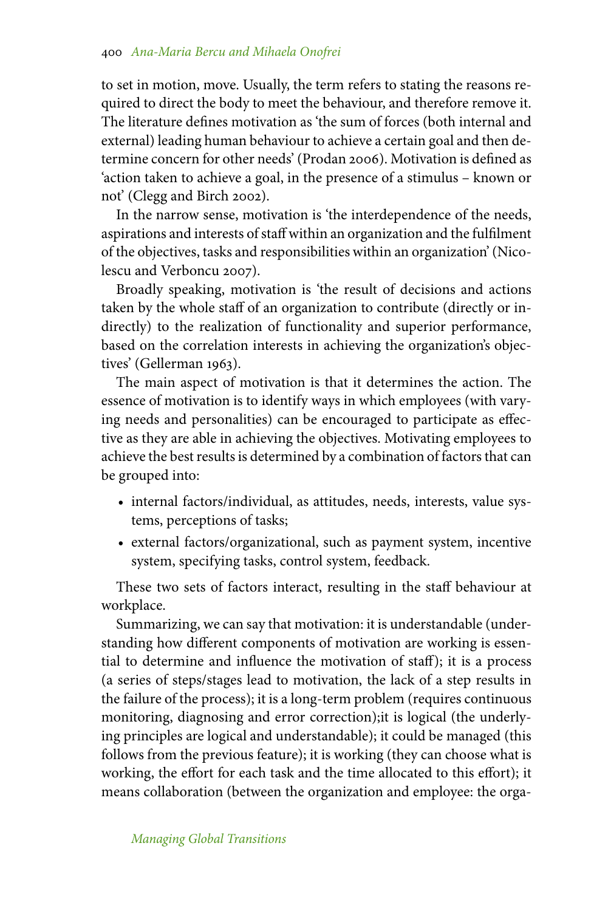to set in motion, move. Usually, the term refers to stating the reasons required to direct the body to meet the behaviour, and therefore remove it. The literature defines motivation as 'the sum of forces (both internal and external) leading human behaviour to achieve a certain goal and then determine concern for other needs' (Prodan 2006). Motivation is defined as 'action taken to achieve a goal, in the presence of a stimulus – known or not' (Clegg and Birch 2002).

In the narrow sense, motivation is 'the interdependence of the needs, aspirations and interests of staff within an organization and the fulfilment of the objectives, tasks and responsibilities within an organization' (Nicolescu and Verboncu 2007).

Broadly speaking, motivation is 'the result of decisions and actions taken by the whole staff of an organization to contribute (directly or indirectly) to the realization of functionality and superior performance, based on the correlation interests in achieving the organization's objectives' (Gellerman 1963).

The main aspect of motivation is that it determines the action. The essence of motivation is to identify ways in which employees (with varying needs and personalities) can be encouraged to participate as effective as they are able in achieving the objectives. Motivating employees to achieve the best results is determined by a combination of factors that can be grouped into:

- internal factors/individual, as attitudes, needs, interests, value systems, perceptions of tasks;
- external factors/organizational, such as payment system, incentive system, specifying tasks, control system, feedback.

These two sets of factors interact, resulting in the staff behaviour at workplace.

Summarizing, we can say that motivation: it is understandable (understanding how different components of motivation are working is essential to determine and influence the motivation of staff); it is a process (a series of steps/stages lead to motivation, the lack of a step results in the failure of the process); it is a long-term problem (requires continuous monitoring, diagnosing and error correction);it is logical (the underlying principles are logical and understandable); it could be managed (this follows from the previous feature); it is working (they can choose what is working, the effort for each task and the time allocated to this effort); it means collaboration (between the organization and employee: the orga-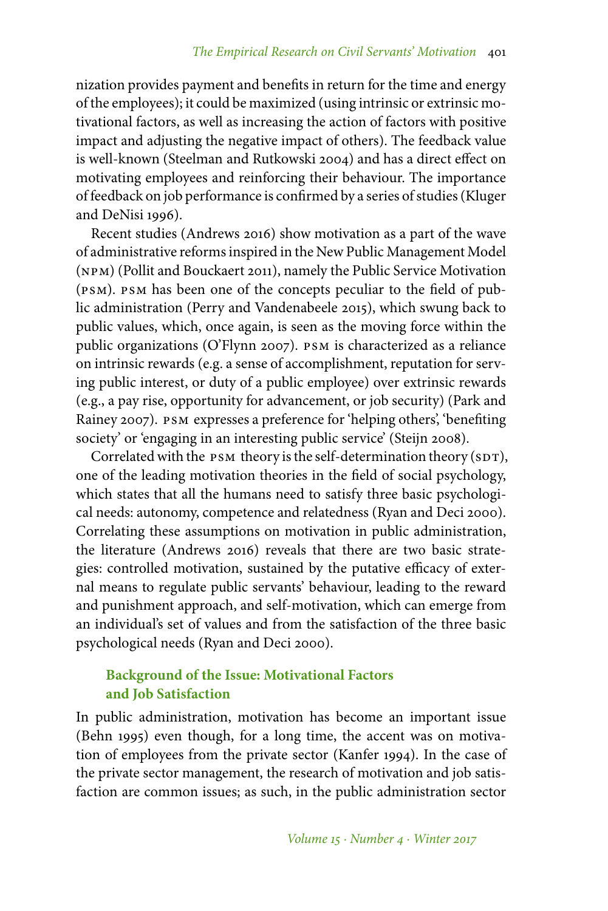nization provides payment and benefits in return for the time and energy of the employees); it could be maximized (using intrinsic or extrinsic motivational factors, as well as increasing the action of factors with positive impact and adjusting the negative impact of others). The feedback value is well-known (Steelman and Rutkowski 2004) and has a direct effect on motivating employees and reinforcing their behaviour. The importance of feedback on job performance is confirmed by a series of studies (Kluger and DeNisi 1996).

Recent studies (Andrews 2016) show motivation as a part of the wave of administrative reforms inspired in the New Public Management Model (npm) (Pollit and Bouckaert 2011), namely the Public Service Motivation (psm). psm has been one of the concepts peculiar to the field of public administration (Perry and Vandenabeele 2015), which swung back to public values, which, once again, is seen as the moving force within the public organizations (O'Flynn 2007). psm is characterized as a reliance on intrinsic rewards (e.g. a sense of accomplishment, reputation for serving public interest, or duty of a public employee) over extrinsic rewards (e.g., a pay rise, opportunity for advancement, or job security) (Park and Rainey 2007). psm expresses a preference for 'helping others', 'benefiting society' or 'engaging in an interesting public service' (Steijn 2008).

Correlated with the  $p_{SM}$  theory is the self-determination theory ( $SDT$ ), one of the leading motivation theories in the field of social psychology, which states that all the humans need to satisfy three basic psychological needs: autonomy, competence and relatedness (Ryan and Deci 2000). Correlating these assumptions on motivation in public administration, the literature (Andrews 2016) reveals that there are two basic strategies: controlled motivation, sustained by the putative efficacy of external means to regulate public servants' behaviour, leading to the reward and punishment approach, and self-motivation, which can emerge from an individual's set of values and from the satisfaction of the three basic psychological needs (Ryan and Deci 2000).

## **Background of the Issue: Motivational Factors and Job Satisfaction**

In public administration, motivation has become an important issue (Behn 1995) even though, for a long time, the accent was on motivation of employees from the private sector (Kanfer 1994). In the case of the private sector management, the research of motivation and job satisfaction are common issues; as such, in the public administration sector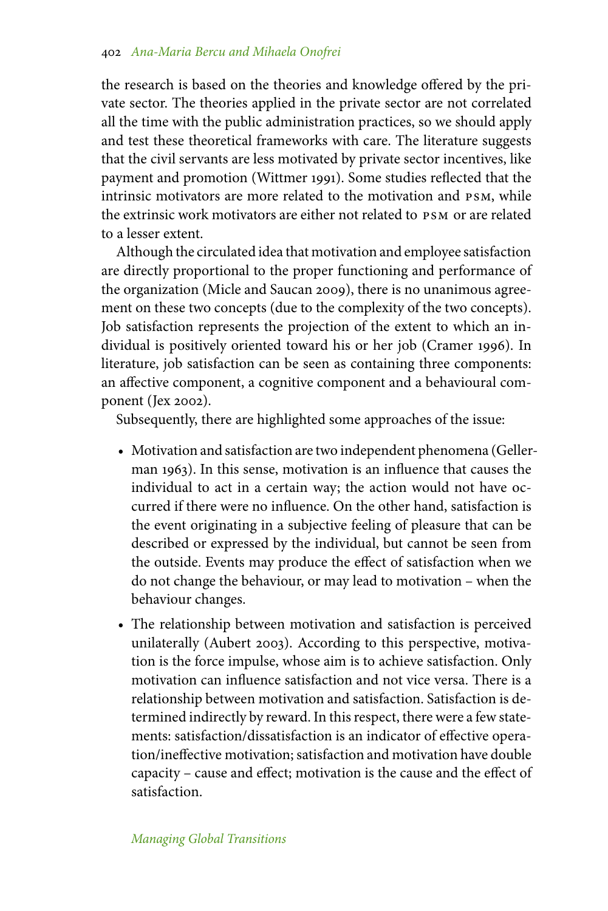the research is based on the theories and knowledge offered by the private sector. The theories applied in the private sector are not correlated all the time with the public administration practices, so we should apply and test these theoretical frameworks with care. The literature suggests that the civil servants are less motivated by private sector incentives, like payment and promotion (Wittmer 1991). Some studies reflected that the intrinsic motivators are more related to the motivation and psm, while the extrinsic work motivators are either not related to psm or are related to a lesser extent.

Although the circulated idea that motivation and employee satisfaction are directly proportional to the proper functioning and performance of the organization (Micle and Saucan 2009), there is no unanimous agreement on these two concepts (due to the complexity of the two concepts). Job satisfaction represents the projection of the extent to which an individual is positively oriented toward his or her job (Cramer 1996). In literature, job satisfaction can be seen as containing three components: an affective component, a cognitive component and a behavioural component (Jex 2002).

Subsequently, there are highlighted some approaches of the issue:

- Motivation and satisfaction are two independent phenomena (Gellerman  $1963$ ). In this sense, motivation is an influence that causes the individual to act in a certain way; the action would not have occurred if there were no influence. On the other hand, satisfaction is the event originating in a subjective feeling of pleasure that can be described or expressed by the individual, but cannot be seen from the outside. Events may produce the effect of satisfaction when we do not change the behaviour, or may lead to motivation – when the behaviour changes.
- The relationship between motivation and satisfaction is perceived unilaterally (Aubert 2003). According to this perspective, motivation is the force impulse, whose aim is to achieve satisfaction. Only motivation can influence satisfaction and not vice versa. There is a relationship between motivation and satisfaction. Satisfaction is determined indirectly by reward. In this respect, there were a few statements: satisfaction/dissatisfaction is an indicator of effective operation/ineffective motivation; satisfaction and motivation have double capacity – cause and effect; motivation is the cause and the effect of satisfaction.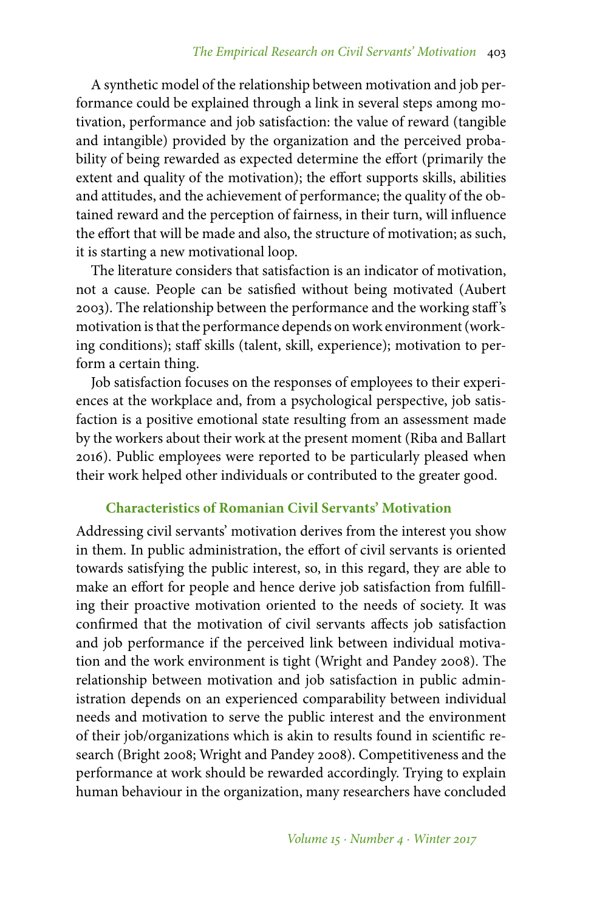A synthetic model of the relationship between motivation and job performance could be explained through a link in several steps among motivation, performance and job satisfaction: the value of reward (tangible and intangible) provided by the organization and the perceived probability of being rewarded as expected determine the effort (primarily the extent and quality of the motivation); the effort supports skills, abilities and attitudes, and the achievement of performance; the quality of the obtained reward and the perception of fairness, in their turn, will influence the effort that will be made and also, the structure of motivation; as such, it is starting a new motivational loop.

The literature considers that satisfaction is an indicator of motivation, not a cause. People can be satisfied without being motivated (Aubert 2003). The relationship between the performance and the working staff 's motivation is that the performance depends on work environment (working conditions); staff skills (talent, skill, experience); motivation to perform a certain thing.

Job satisfaction focuses on the responses of employees to their experiences at the workplace and, from a psychological perspective, job satisfaction is a positive emotional state resulting from an assessment made by the workers about their work at the present moment (Riba and Ballart 2016). Public employees were reported to be particularly pleased when their work helped other individuals or contributed to the greater good.

## **Characteristics of Romanian Civil Servants' Motivation**

Addressing civil servants' motivation derives from the interest you show in them. In public administration, the effort of civil servants is oriented towards satisfying the public interest, so, in this regard, they are able to make an effort for people and hence derive job satisfaction from fulfilling their proactive motivation oriented to the needs of society. It was confirmed that the motivation of civil servants affects job satisfaction and job performance if the perceived link between individual motivation and the work environment is tight (Wright and Pandey 2008). The relationship between motivation and job satisfaction in public administration depends on an experienced comparability between individual needs and motivation to serve the public interest and the environment of their job/organizations which is akin to results found in scientific research (Bright 2008; Wright and Pandey 2008). Competitiveness and the performance at work should be rewarded accordingly. Trying to explain human behaviour in the organization, many researchers have concluded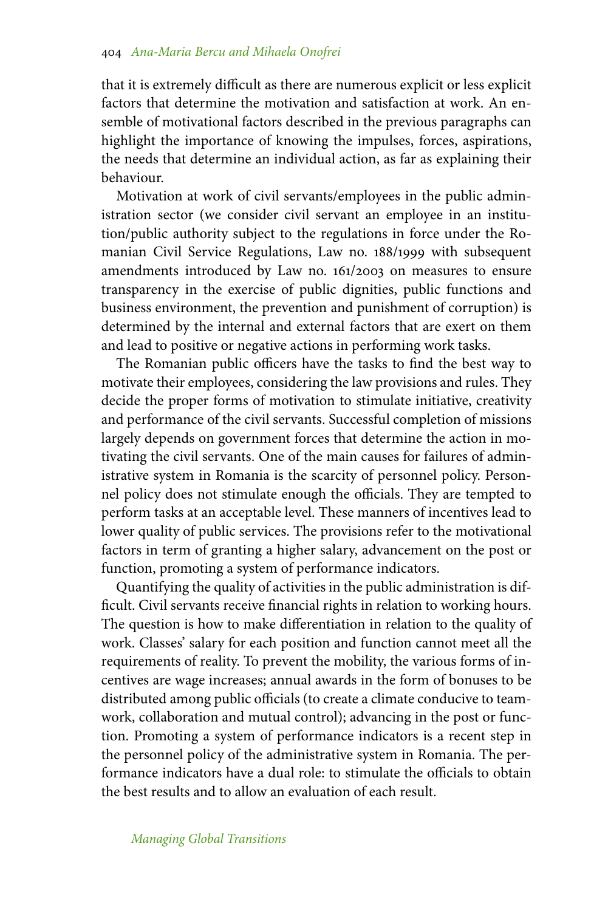that it is extremely difficult as there are numerous explicit or less explicit factors that determine the motivation and satisfaction at work. An ensemble of motivational factors described in the previous paragraphs can highlight the importance of knowing the impulses, forces, aspirations, the needs that determine an individual action, as far as explaining their behaviour.

Motivation at work of civil servants/employees in the public administration sector (we consider civil servant an employee in an institution/public authority subject to the regulations in force under the Romanian Civil Service Regulations, Law no. 188/1999 with subsequent amendments introduced by Law no. 161/2003 on measures to ensure transparency in the exercise of public dignities, public functions and business environment, the prevention and punishment of corruption) is determined by the internal and external factors that are exert on them and lead to positive or negative actions in performing work tasks.

The Romanian public officers have the tasks to find the best way to motivate their employees, considering the law provisions and rules. They decide the proper forms of motivation to stimulate initiative, creativity and performance of the civil servants. Successful completion of missions largely depends on government forces that determine the action in motivating the civil servants. One of the main causes for failures of administrative system in Romania is the scarcity of personnel policy. Personnel policy does not stimulate enough the officials. They are tempted to perform tasks at an acceptable level. These manners of incentives lead to lower quality of public services. The provisions refer to the motivational factors in term of granting a higher salary, advancement on the post or function, promoting a system of performance indicators.

Quantifying the quality of activities in the public administration is difficult. Civil servants receive financial rights in relation to working hours. The question is how to make differentiation in relation to the quality of work. Classes' salary for each position and function cannot meet all the requirements of reality. To prevent the mobility, the various forms of incentives are wage increases; annual awards in the form of bonuses to be distributed among public officials (to create a climate conducive to teamwork, collaboration and mutual control); advancing in the post or function. Promoting a system of performance indicators is a recent step in the personnel policy of the administrative system in Romania. The performance indicators have a dual role: to stimulate the officials to obtain the best results and to allow an evaluation of each result.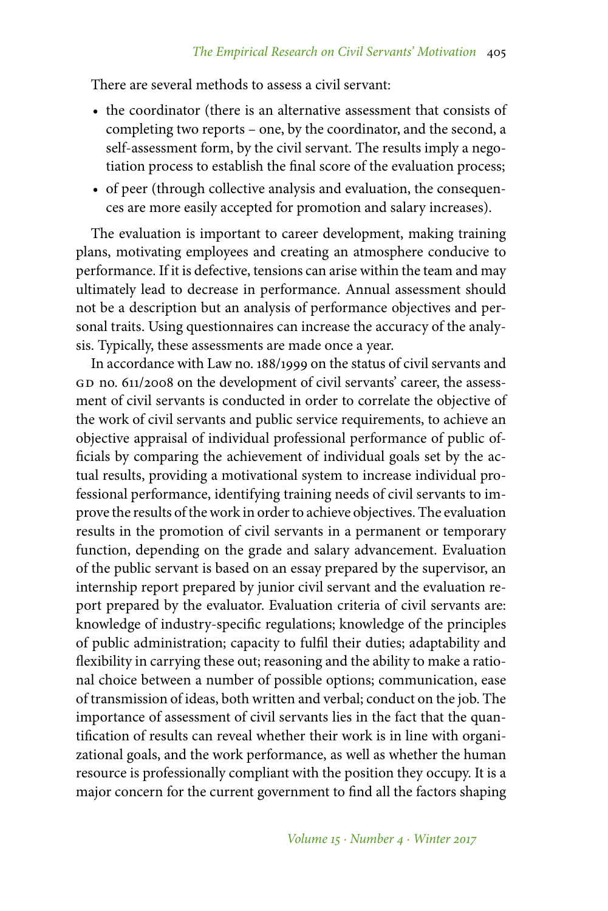There are several methods to assess a civil servant:

- the coordinator (there is an alternative assessment that consists of completing two reports – one, by the coordinator, and the second, a self-assessment form, by the civil servant. The results imply a negotiation process to establish the final score of the evaluation process;
- of peer (through collective analysis and evaluation, the consequences are more easily accepted for promotion and salary increases).

The evaluation is important to career development, making training plans, motivating employees and creating an atmosphere conducive to performance. If it is defective, tensions can arise within the team and may ultimately lead to decrease in performance. Annual assessment should not be a description but an analysis of performance objectives and personal traits. Using questionnaires can increase the accuracy of the analysis. Typically, these assessments are made once a year.

In accordance with Law no. 188/1999 on the status of civil servants and GD no. 611/2008 on the development of civil servants' career, the assessment of civil servants is conducted in order to correlate the objective of the work of civil servants and public service requirements, to achieve an objective appraisal of individual professional performance of public officials by comparing the achievement of individual goals set by the actual results, providing a motivational system to increase individual professional performance, identifying training needs of civil servants to improve the results of the work in order to achieve objectives. The evaluation results in the promotion of civil servants in a permanent or temporary function, depending on the grade and salary advancement. Evaluation of the public servant is based on an essay prepared by the supervisor, an internship report prepared by junior civil servant and the evaluation report prepared by the evaluator. Evaluation criteria of civil servants are: knowledge of industry-specific regulations; knowledge of the principles of public administration; capacity to fulfil their duties; adaptability and flexibility in carrying these out; reasoning and the ability to make a rational choice between a number of possible options; communication, ease of transmission of ideas, both written and verbal; conduct on the job. The importance of assessment of civil servants lies in the fact that the quantification of results can reveal whether their work is in line with organizational goals, and the work performance, as well as whether the human resource is professionally compliant with the position they occupy. It is a major concern for the current government to find all the factors shaping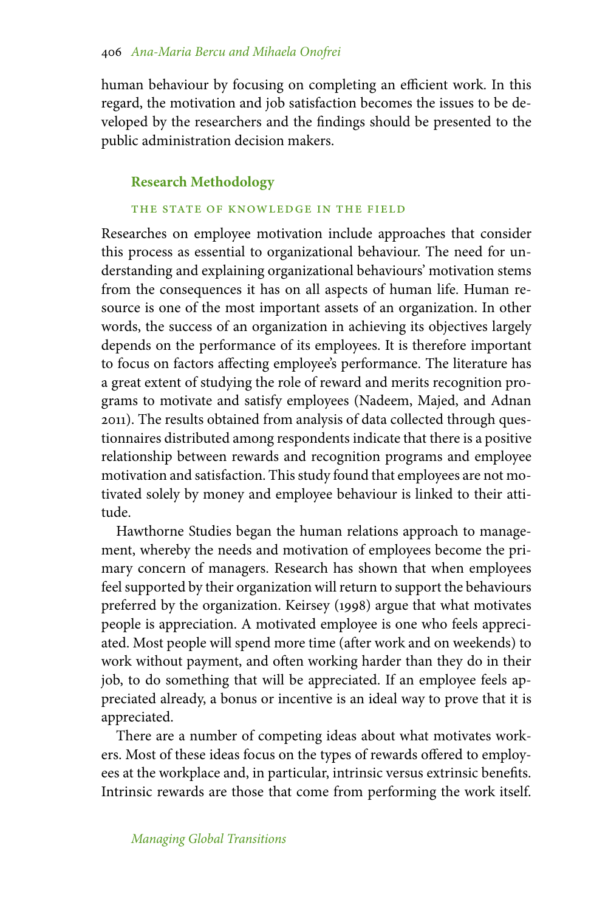human behaviour by focusing on completing an efficient work. In this regard, the motivation and job satisfaction becomes the issues to be developed by the researchers and the findings should be presented to the public administration decision makers.

## **Research Methodology**

## THE STATE OF KNOWLEDGE IN THE FIELD

Researches on employee motivation include approaches that consider this process as essential to organizational behaviour. The need for understanding and explaining organizational behaviours' motivation stems from the consequences it has on all aspects of human life. Human resource is one of the most important assets of an organization. In other words, the success of an organization in achieving its objectives largely depends on the performance of its employees. It is therefore important to focus on factors affecting employee's performance. The literature has a great extent of studying the role of reward and merits recognition programs to motivate and satisfy employees (Nadeem, Majed, and Adnan 2011). The results obtained from analysis of data collected through questionnaires distributed among respondents indicate that there is a positive relationship between rewards and recognition programs and employee motivation and satisfaction. This study found that employees are not motivated solely by money and employee behaviour is linked to their attitude.

Hawthorne Studies began the human relations approach to management, whereby the needs and motivation of employees become the primary concern of managers. Research has shown that when employees feel supported by their organization will return to support the behaviours preferred by the organization. Keirsey (1998) argue that what motivates people is appreciation. A motivated employee is one who feels appreciated. Most people will spend more time (after work and on weekends) to work without payment, and often working harder than they do in their job, to do something that will be appreciated. If an employee feels appreciated already, a bonus or incentive is an ideal way to prove that it is appreciated.

There are a number of competing ideas about what motivates workers. Most of these ideas focus on the types of rewards offered to employees at the workplace and, in particular, intrinsic versus extrinsic benefits. Intrinsic rewards are those that come from performing the work itself.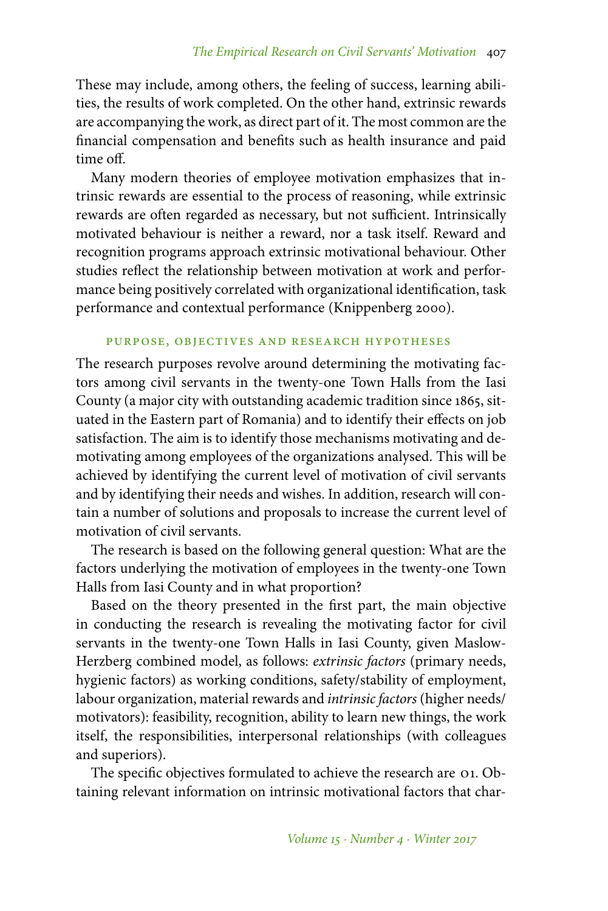These may include, among others, the feeling of success, learning abilities, the results of work completed. On the other hand, extrinsic rewards are accompanying the work, as direct part of it. The most common are the financial compensation and benefits such as health insurance and paid time off.

Many modern theories of employee motivation emphasizes that intrinsic rewards are essential to the process of reasoning, while extrinsic rewards are often regarded as necessary, but not sufficient. Intrinsically motivated behaviour is neither a reward, nor a task itself. Reward and recognition programs approach extrinsic motivational behaviour. Other studies reflect the relationship between motivation at work and performance being positively correlated with organizational identification, task performance and contextual performance (Knippenberg 2000).

## purpose, objectives and research hypotheses

The research purposes revolve around determining the motivating factors among civil servants in the twenty-one Town Halls from the Iasi County (a major city with outstanding academic tradition since 1865, situated in the Eastern part of Romania) and to identify their effects on job satisfaction. The aim is to identify those mechanisms motivating and demotivating among employees of the organizations analysed. This will be achieved by identifying the current level of motivation of civil servants and by identifying their needs and wishes. In addition, research will contain a number of solutions and proposals to increase the current level of motivation of civil servants.

The research is based on the following general question: What are the factors underlying the motivation of employees in the twenty-one Town Halls from Iasi County and in what proportion?

Based on the theory presented in the first part, the main objective in conducting the research is revealing the motivating factor for civil servants in the twenty-one Town Halls in Iasi County, given Maslow-Herzberg combined model, as follows: *extrinsic factors* (primary needs, hygienic factors) as working conditions, safety/stability of employment, labour organization, material rewards and *intrinsic factors* (higher needs/ motivators): feasibility, recognition, ability to learn new things, the work itself, the responsibilities, interpersonal relationships (with colleagues and superiors).

The specific objectives formulated to achieve the research are 01. Obtaining relevant information on intrinsic motivational factors that char-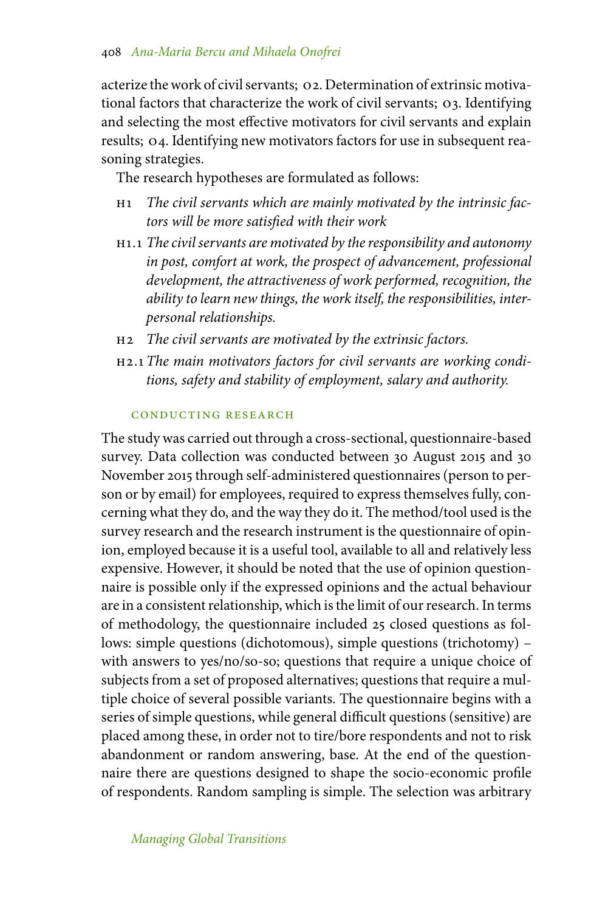acterize the work of civil servants; o2. Determination of extrinsic motivational factors that characterize the work of civil servants; o3. Identifying and selecting the most effective motivators for civil servants and explain results; o4. Identifying new motivators factors for use in subsequent reasoning strategies.

The research hypotheses are formulated as follows:

- h1 *The civil servants which are mainly motivated by the intrinsic factors will be more satisfied with their work*
- h1.1 *The civil servants are motivated by the responsibility and autonomy in post, comfort at work, the prospect of advancement, professional development, the attractiveness of work performed, recognition, the ability to learn new things, the work itself, the responsibilities, interpersonal relationships.*
- h2 *The civil servants are motivated by the extrinsic factors.*
- h2.1 *The main motivators factors for civil servants are working conditions, safety and stability of employment, salary and authority.*

## conducting research

The study was carried out through a cross-sectional, questionnaire-based survey. Data collection was conducted between 30 August 2015 and 30 November 2015 through self-administered questionnaires (person to person or by email) for employees, required to express themselves fully, concerning what they do, and the way they do it. The method/tool used is the survey research and the research instrument is the questionnaire of opinion, employed because it is a useful tool, available to all and relatively less expensive. However, it should be noted that the use of opinion questionnaire is possible only if the expressed opinions and the actual behaviour are in a consistent relationship, which is the limit of our research. In terms of methodology, the questionnaire included 25 closed questions as follows: simple questions (dichotomous), simple questions (trichotomy) – with answers to yes/no/so-so; questions that require a unique choice of subjects from a set of proposed alternatives; questions that require a multiple choice of several possible variants. The questionnaire begins with a series of simple questions, while general difficult questions (sensitive) are placed among these, in order not to tire/bore respondents and not to risk abandonment or random answering, base. At the end of the questionnaire there are questions designed to shape the socio-economic profile of respondents. Random sampling is simple. The selection was arbitrary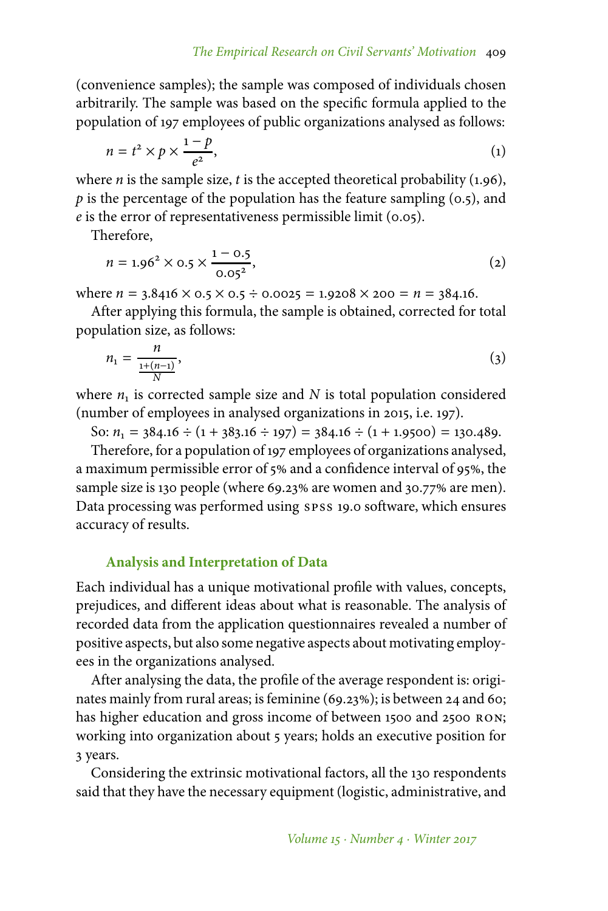(convenience samples); the sample was composed of individuals chosen arbitrarily. The sample was based on the specific formula applied to the population of 197 employees of public organizations analysed as follows:

$$
n = t^2 \times p \times \frac{1-p}{e^2},\tag{1}
$$

where *n* is the sample size, *t* is the accepted theoretical probability (1.96),  $p$  is the percentage of the population has the feature sampling  $(0.5)$ , and *e* is the error of representativeness permissible limit (0.05).

Therefore,

$$
n = 1.962 \times 0.5 \times \frac{1 - 0.5}{0.052},
$$
 (2)

where  $n = 3.8416 \times 0.5 \times 0.5 \div 0.0025 = 1.9208 \times 200 = n = 384.16$ .

After applying this formula, the sample is obtained, corrected for total population size, as follows:

$$
n_1 = \frac{n}{\frac{1+(n-1)}{N}},\tag{3}
$$

where  $n_1$  is corrected sample size and  $N$  is total population considered (number of employees in analysed organizations in 2015, i.e. 197).

So:  $n_1 = 384.16 \div (1 + 383.16 \div 197) = 384.16 \div (1 + 1.9500) = 130.489$ .

Therefore, for a population of 197 employees of organizations analysed, a maximum permissible error of 5% and a confidence interval of 95%, the sample size is 130 people (where 69.23% are women and 30.77% are men). Data processing was performed using spss 19.0 software, which ensures accuracy of results.

## **Analysis and Interpretation of Data**

Each individual has a unique motivational profile with values, concepts, prejudices, and different ideas about what is reasonable. The analysis of recorded data from the application questionnaires revealed a number of positive aspects, but also some negative aspects about motivating employees in the organizations analysed.

After analysing the data, the profile of the average respondent is: originates mainly from rural areas; is feminine (69.23%); is between 24 and 60; has higher education and gross income of between 1500 and 2500 RON; working into organization about 5 years; holds an executive position for 3 years.

Considering the extrinsic motivational factors, all the 130 respondents said that they have the necessary equipment (logistic, administrative, and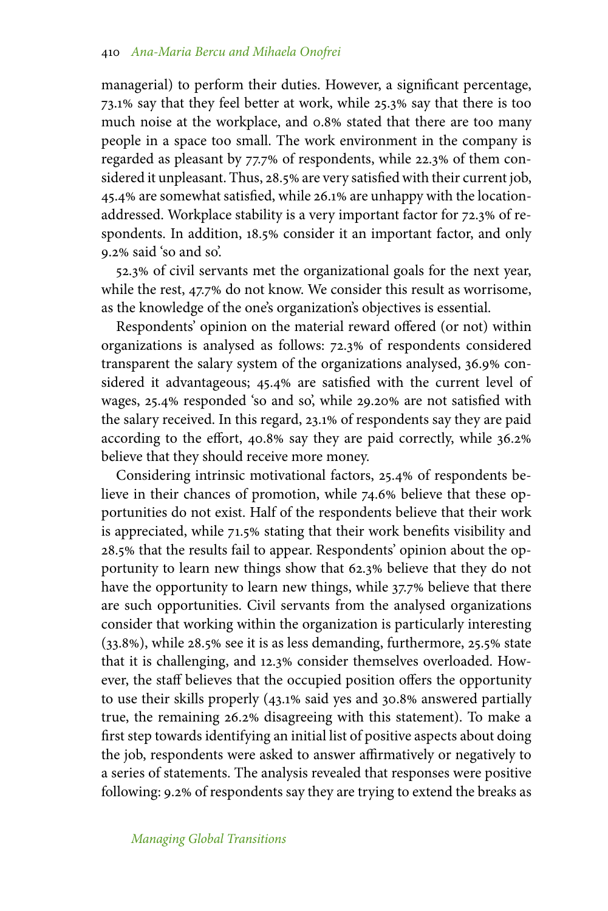managerial) to perform their duties. However, a significant percentage, 73.1% say that they feel better at work, while 25.3% say that there is too much noise at the workplace, and 0.8% stated that there are too many people in a space too small. The work environment in the company is regarded as pleasant by 77.7% of respondents, while 22.3% of them considered it unpleasant. Thus, 28.5% are very satisfied with their current job, 45.4% are somewhat satisfied, while 26.1% are unhappy with the locationaddressed. Workplace stability is a very important factor for 72.3% of respondents. In addition, 18.5% consider it an important factor, and only 9.2 said 'so and so'.

52.3 of civil servants met the organizational goals for the next year, while the rest, 47.7% do not know. We consider this result as worrisome, as the knowledge of the one's organization's objectives is essential.

Respondents' opinion on the material reward offered (or not) within organizations is analysed as follows: 72.3% of respondents considered transparent the salary system of the organizations analysed, 36.9% considered it advantageous; 45.4% are satisfied with the current level of wages, 25.4% responded 'so and so', while 29.20% are not satisfied with the salary received. In this regard, 23.1% of respondents say they are paid according to the effort, 40.8% say they are paid correctly, while 36.2% believe that they should receive more money.

Considering intrinsic motivational factors, 25.4% of respondents believe in their chances of promotion, while 74.6% believe that these opportunities do not exist. Half of the respondents believe that their work is appreciated, while 71.5% stating that their work benefits visibility and 28.5 that the results fail to appear. Respondents' opinion about the opportunity to learn new things show that 62.3% believe that they do not have the opportunity to learn new things, while 37.7% believe that there are such opportunities. Civil servants from the analysed organizations consider that working within the organization is particularly interesting  $(33.8%)$ , while 28.5% see it is as less demanding, furthermore, 25.5% state that it is challenging, and 12.3% consider themselves overloaded. However, the staff believes that the occupied position offers the opportunity to use their skills properly  $(43.1\% \text{ said yes and } 30.8\% \text{ answered partially})$ true, the remaining 26.2% disagreeing with this statement). To make a first step towards identifying an initial list of positive aspects about doing the job, respondents were asked to answer affirmatively or negatively to a series of statements. The analysis revealed that responses were positive following: 9.2% of respondents say they are trying to extend the breaks as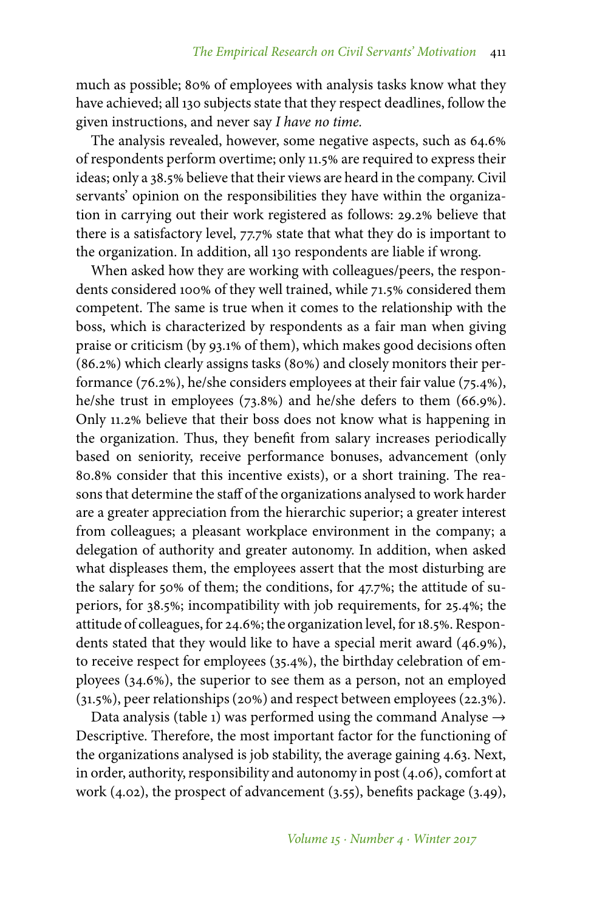much as possible; 80% of employees with analysis tasks know what they have achieved; all 130 subjects state that they respect deadlines, follow the given instructions, and never say *I have no time.*

The analysis revealed, however, some negative aspects, such as 64.6 of respondents perform overtime; only 11.5% are required to express their ideas; only a 38.5% believe that their views are heard in the company. Civil servants' opinion on the responsibilities they have within the organization in carrying out their work registered as follows: 29.2% believe that there is a satisfactory level, 77.7% state that what they do is important to the organization. In addition, all 130 respondents are liable if wrong.

When asked how they are working with colleagues/peers, the respondents considered 100% of they well trained, while 71.5% considered them competent. The same is true when it comes to the relationship with the boss, which is characterized by respondents as a fair man when giving praise or criticism (by 93.1% of them), which makes good decisions often  $(86.2%)$  which clearly assigns tasks  $(80%)$  and closely monitors their performance (76.2%), he/she considers employees at their fair value (75.4%), he/she trust in employees  $(73.8%)$  and he/she defers to them  $(66.9%).$ Only 11.2% believe that their boss does not know what is happening in the organization. Thus, they benefit from salary increases periodically based on seniority, receive performance bonuses, advancement (only 80.8% consider that this incentive exists), or a short training. The reasons that determine the staff of the organizations analysed to work harder are a greater appreciation from the hierarchic superior; a greater interest from colleagues; a pleasant workplace environment in the company; a delegation of authority and greater autonomy. In addition, when asked what displeases them, the employees assert that the most disturbing are the salary for 50% of them; the conditions, for  $47.7\%$ ; the attitude of superiors, for 38.5%; incompatibility with job requirements, for 25.4%; the attitude of colleagues, for 24.6%; the organization level, for 18.5%. Respondents stated that they would like to have a special merit award (46.9%), to receive respect for employees  $(35.4%)$ , the birthday celebration of employees (34.6%), the superior to see them as a person, not an employed  $(31.5%)$ , peer relationships (20%) and respect between employees (22.3%).

Data analysis (table 1) was performed using the command Analyse  $\rightarrow$ Descriptive. Therefore, the most important factor for the functioning of the organizations analysed is job stability, the average gaining 4.63. Next, in order, authority, responsibility and autonomy in post (4.06), comfort at work (4.02), the prospect of advancement (3.55), benefits package (3.49),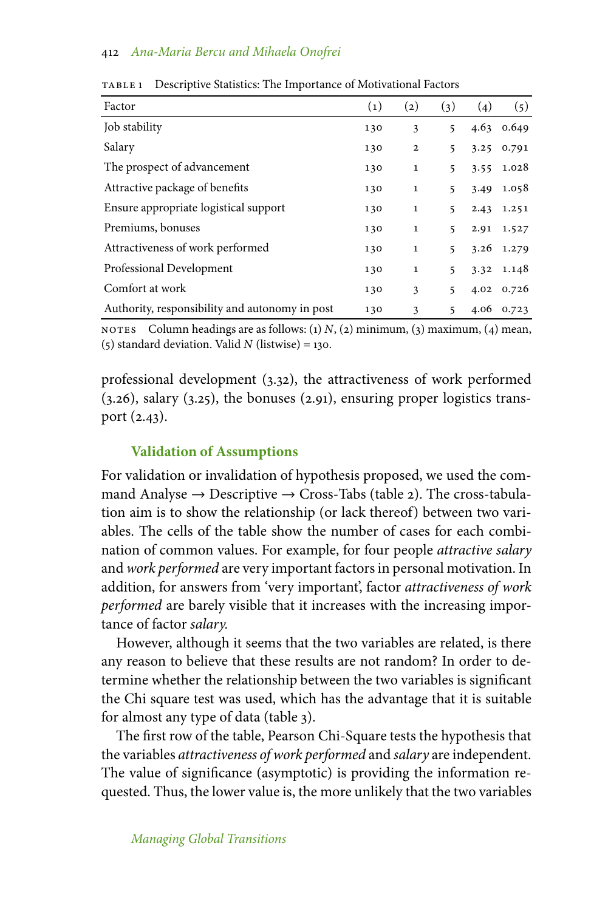| Factor                                         | $\left( 1\right)$ | (2)          | (3)             | (4)  | (5)          |
|------------------------------------------------|-------------------|--------------|-----------------|------|--------------|
| Job stability                                  | 130               | 3            | 5               |      | $4.63$ 0.649 |
| Salary                                         | 130               | $\mathbf{2}$ | 5               | 3.25 | 0.791        |
| The prospect of advancement                    | 130               | $\mathbf 1$  | 5               |      | 3.55 1.028   |
| Attractive package of benefits                 | 130               | 1            | 5               | 3.49 | 1.058        |
| Ensure appropriate logistical support          | 130               | $\mathbf{1}$ | 5               | 2.43 | 1.251        |
| Premiums, bonuses                              | 130               | $\mathbf{1}$ | 5               |      | 2.91 1.527   |
| Attractiveness of work performed               | 130               | 1            | 5               | 3.26 | 1.279        |
| Professional Development                       | 130               | $\mathbf{1}$ | $5\overline{5}$ |      | 3.32 1.148   |
| Comfort at work                                | 130               | 3            | 5               |      | 4.02 0.726   |
| Authority, responsibility and autonomy in post | 130               | 3            | 5               | 4.06 | 0.723        |

table 1 Descriptive Statistics: The Importance of Motivational Factors

NOTES Column headings are as follows:  $(1)$  *N*,  $(2)$  minimum,  $(3)$  maximum,  $(4)$  mean, (5) standard deviation. Valid *N* (listwise) = 130.

professional development (3.32), the attractiveness of work performed (3.26), salary (3.25), the bonuses (2.91), ensuring proper logistics transport (2.43).

## **Validation of Assumptions**

For validation or invalidation of hypothesis proposed, we used the command Analyse  $\rightarrow$  Descriptive  $\rightarrow$  Cross-Tabs (table 2). The cross-tabulation aim is to show the relationship (or lack thereof) between two variables. The cells of the table show the number of cases for each combination of common values. For example, for four people *attractive salary* and *work performed* are very important factors in personal motivation. In addition, for answers from 'very important', factor *attractiveness of work performed* are barely visible that it increases with the increasing importance of factor *salary.*

However, although it seems that the two variables are related, is there any reason to believe that these results are not random? In order to determine whether the relationship between the two variables is significant the Chi square test was used, which has the advantage that it is suitable for almost any type of data (table 3).

The first row of the table, Pearson Chi-Square tests the hypothesis that the variables *attractiveness of work performed* and *salary* are independent. The value of significance (asymptotic) is providing the information requested. Thus, the lower value is, the more unlikely that the two variables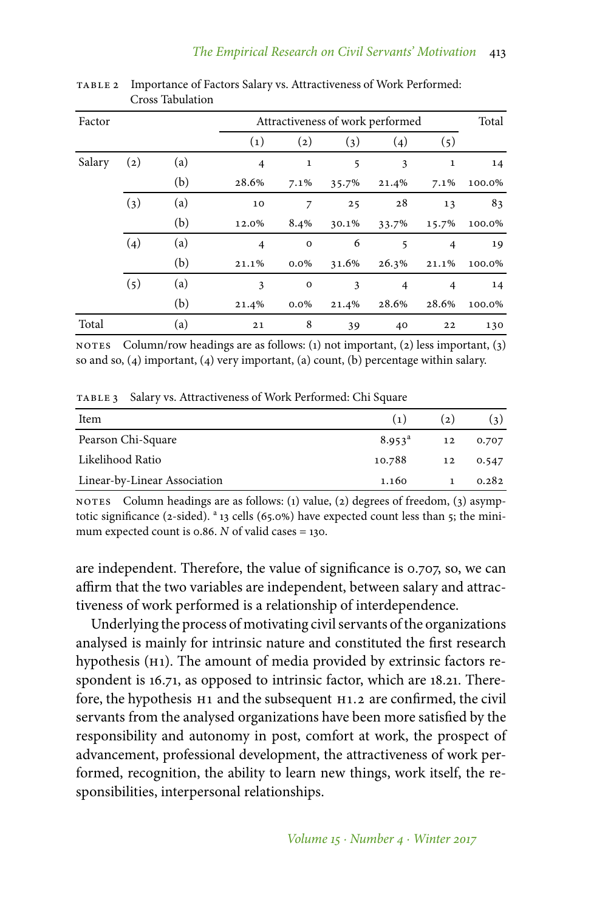| Factor |                   |     | Attractiveness of work performed |                   |       |                |                | Total  |
|--------|-------------------|-----|----------------------------------|-------------------|-------|----------------|----------------|--------|
|        |                   |     | $\left( 1\right)$                | $\left( 2\right)$ | (3)   | (4)            | (5)            |        |
| Salary | $\left( 2\right)$ | (a) | 4                                | 1                 | 5     | 3              | $\mathbf 1$    | 14     |
|        |                   | (b) | 28.6%                            | $7.1\%$           | 35.7% | 21.4%          | 7.1%           | 100.0% |
|        | (3)               | (a) | 10                               | 7                 | 25    | 28             | 13             | 83     |
|        |                   | (b) | 12.0%                            | 8.4%              | 30.1% | 33.7%          | 15.7%          | 100.0% |
|        | (4)               | (a) | $\overline{4}$                   | $\mathbf{o}$      | 6     | 5              | $\overline{4}$ | 19     |
|        |                   | (b) | 21.1%                            | $0.0\%$           | 31.6% | 26.3%          | 21.1%          | 100.0% |
|        | (5)               | (a) | 3                                | $\mathbf{o}$      | 3     | $\overline{4}$ | $\overline{4}$ | 14     |
|        |                   | (b) | 21.4%                            | $0.0\%$           | 21.4% | 28.6%          | 28.6%          | 100.0% |
| Total  |                   | (a) | 21                               | 8                 | 39    | 40             | 22             | 130    |

table 2 Importance of Factors Salary vs. Attractiveness of Work Performed: Cross Tabulation

NOTES Column/row headings are as follows: (1) not important, (2) less important, (3) so and so, (4) important, (4) very important, (a) count, (b) percentage within salary.

TABLE 3 Salary vs. Attractiveness of Work Performed: Chi Square

| Item                         | (1)             | (2) | (3)   |
|------------------------------|-----------------|-----|-------|
| Pearson Chi-Square           | $8.953^{\circ}$ | 12  | 0.707 |
| Likelihood Ratio             | 10.788          | 12  | 0.547 |
| Linear-by-Linear Association | 1.160           |     | 0.282 |

NOTES Column headings are as follows: (1) value, (2) degrees of freedom, (3) asymptotic significance (2-sided).  $a_{13}$  cells (65.0%) have expected count less than 5; the minimum expected count is 0.86. *N* of valid cases = 130.

are independent. Therefore, the value of significance is 0.707, so, we can affirm that the two variables are independent, between salary and attractiveness of work performed is a relationship of interdependence.

Underlying the process of motivating civil servants of the organizations analysed is mainly for intrinsic nature and constituted the first research hypothesis (h1). The amount of media provided by extrinsic factors respondent is 16.71, as opposed to intrinsic factor, which are 18.21. Therefore, the hypothesis h1 and the subsequent h1.2 are confirmed, the civil servants from the analysed organizations have been more satisfied by the responsibility and autonomy in post, comfort at work, the prospect of advancement, professional development, the attractiveness of work performed, recognition, the ability to learn new things, work itself, the responsibilities, interpersonal relationships.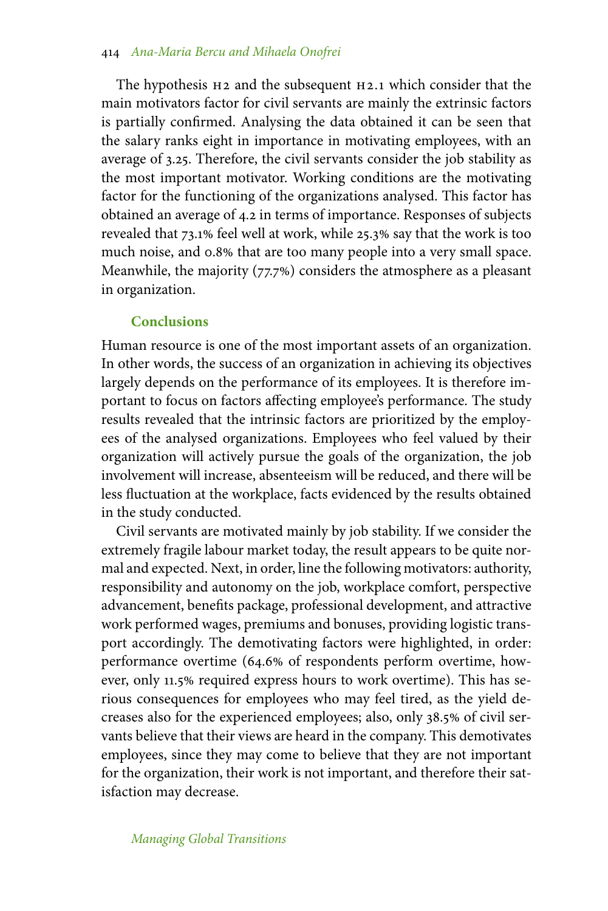The hypothesis  $H_2$  and the subsequent  $H_2$ .1 which consider that the main motivators factor for civil servants are mainly the extrinsic factors is partially confirmed. Analysing the data obtained it can be seen that the salary ranks eight in importance in motivating employees, with an average of 3.25. Therefore, the civil servants consider the job stability as the most important motivator. Working conditions are the motivating factor for the functioning of the organizations analysed. This factor has obtained an average of 4.2 in terms of importance. Responses of subjects revealed that 73.1% feel well at work, while 25.3% say that the work is too much noise, and 0.8% that are too many people into a very small space. Meanwhile, the majority  $(77.7%)$  considers the atmosphere as a pleasant in organization.

#### **Conclusions**

Human resource is one of the most important assets of an organization. In other words, the success of an organization in achieving its objectives largely depends on the performance of its employees. It is therefore important to focus on factors affecting employee's performance. The study results revealed that the intrinsic factors are prioritized by the employees of the analysed organizations. Employees who feel valued by their organization will actively pursue the goals of the organization, the job involvement will increase, absenteeism will be reduced, and there will be less fluctuation at the workplace, facts evidenced by the results obtained in the study conducted.

Civil servants are motivated mainly by job stability. If we consider the extremely fragile labour market today, the result appears to be quite normal and expected. Next, in order, line the following motivators: authority, responsibility and autonomy on the job, workplace comfort, perspective advancement, benefits package, professional development, and attractive work performed wages, premiums and bonuses, providing logistic transport accordingly. The demotivating factors were highlighted, in order: performance overtime (64.6% of respondents perform overtime, however, only 11.5% required express hours to work overtime). This has serious consequences for employees who may feel tired, as the yield decreases also for the experienced employees; also, only 38.5% of civil servants believe that their views are heard in the company. This demotivates employees, since they may come to believe that they are not important for the organization, their work is not important, and therefore their satisfaction may decrease.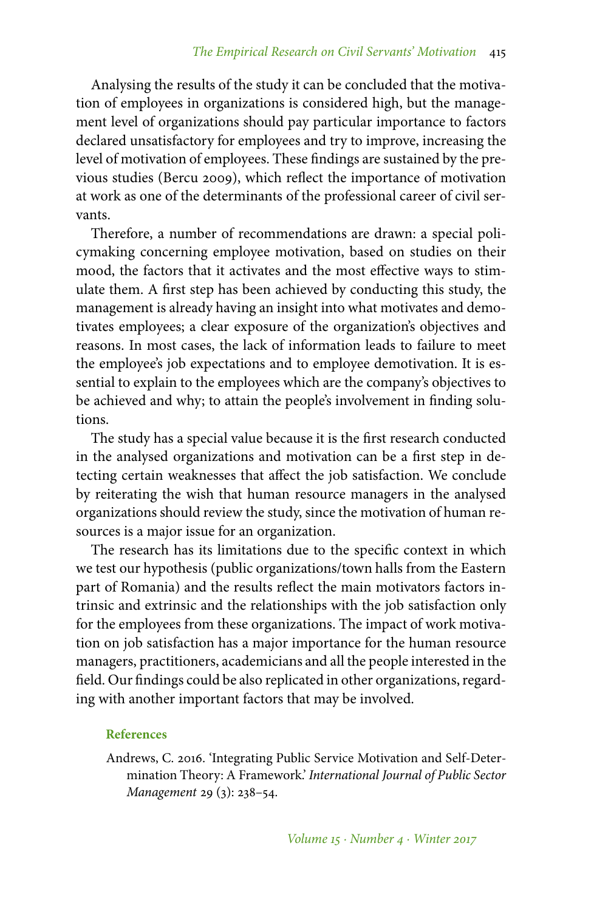Analysing the results of the study it can be concluded that the motivation of employees in organizations is considered high, but the management level of organizations should pay particular importance to factors declared unsatisfactory for employees and try to improve, increasing the level of motivation of employees. These findings are sustained by the previous studies (Bercu 2009), which reflect the importance of motivation at work as one of the determinants of the professional career of civil servants.

Therefore, a number of recommendations are drawn: a special policymaking concerning employee motivation, based on studies on their mood, the factors that it activates and the most effective ways to stimulate them. A first step has been achieved by conducting this study, the management is already having an insight into what motivates and demotivates employees; a clear exposure of the organization's objectives and reasons. In most cases, the lack of information leads to failure to meet the employee's job expectations and to employee demotivation. It is essential to explain to the employees which are the company's objectives to be achieved and why; to attain the people's involvement in finding solutions.

The study has a special value because it is the first research conducted in the analysed organizations and motivation can be a first step in detecting certain weaknesses that affect the job satisfaction. We conclude by reiterating the wish that human resource managers in the analysed organizations should review the study, since the motivation of human resources is a major issue for an organization.

The research has its limitations due to the specific context in which we test our hypothesis (public organizations/town halls from the Eastern part of Romania) and the results reflect the main motivators factors intrinsic and extrinsic and the relationships with the job satisfaction only for the employees from these organizations. The impact of work motivation on job satisfaction has a major importance for the human resource managers, practitioners, academicians and all the people interested in the field. Our findings could be also replicated in other organizations, regarding with another important factors that may be involved.

#### **References**

Andrews, C. 2016. 'Integrating Public Service Motivation and Self-Determination Theory: A Framework.' *International Journal of Public Sector Management* 29 (3): 238–54.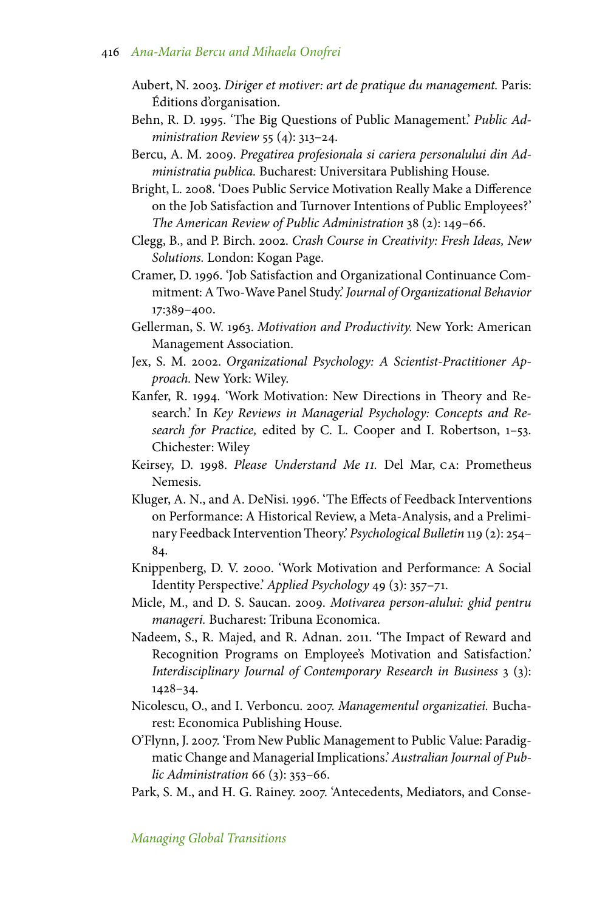- Aubert, N. 2003. *Diriger et motiver: art de pratique du management.* Paris: Éditions d'organisation.
- Behn, R. D. 1995. 'The Big Questions of Public Management.' *Public Administration Review* 55 (4): 313–24.
- Bercu, A. M. 2009. *Pregatirea profesionala si cariera personalului din Administratia publica.* Bucharest: Universitara Publishing House.
- Bright, L. 2008. 'Does Public Service Motivation Really Make a Difference on the Job Satisfaction and Turnover Intentions of Public Employees?' *The American Review of Public Administration* 38 (2): 149–66.
- Clegg, B., and P. Birch. 2002. *Crash Course in Creativity: Fresh Ideas, New Solutions.* London: Kogan Page.
- Cramer, D. 1996. 'Job Satisfaction and Organizational Continuance Commitment: A Two-Wave Panel Study.'*Journal of Organizational Behavior* 17:389–400.
- Gellerman, S. W. 1963. *Motivation and Productivity.* New York: American Management Association.
- Jex, S. M. 2002. *Organizational Psychology: A Scientist-Practitioner Approach.* New York: Wiley.
- Kanfer, R. 1994. 'Work Motivation: New Directions in Theory and Research.' In *Key Reviews in Managerial Psychology: Concepts and Research for Practice,* edited by C. L. Cooper and I. Robertson, 1–53. Chichester: Wiley
- Keirsey, D. 1998. *Please Understand Me ii.* Del Mar, ca: Prometheus Nemesis.
- Kluger, A. N., and A. DeNisi. 1996. 'The Effects of Feedback Interventions on Performance: A Historical Review, a Meta-Analysis, and a Preliminary Feedback Intervention Theory.' *Psychological Bulletin* 119 (2): 254– 84.
- Knippenberg, D. V. 2000. 'Work Motivation and Performance: A Social Identity Perspective.' *Applied Psychology* 49 (3): 357–71.
- Micle, M., and D. S. Saucan. 2009. *Motivarea person-alului: ghid pentru manageri.* Bucharest: Tribuna Economica.
- Nadeem, S., R. Majed, and R. Adnan. 2011. 'The Impact of Reward and Recognition Programs on Employee's Motivation and Satisfaction.' *Interdisciplinary Journal of Contemporary Research in Business* 3 (3): 1428–34.
- Nicolescu, O., and I. Verboncu. 2007. *Managementul organizatiei.* Bucharest: Economica Publishing House.
- O'Flynn, J. 2007. 'From New Public Management to Public Value: Paradigmatic Change and Managerial Implications.' *Australian Journal of Public Administration* 66 (3): 353–66.
- Park, S. M., and H. G. Rainey. 2007. 'Antecedents, Mediators, and Conse-